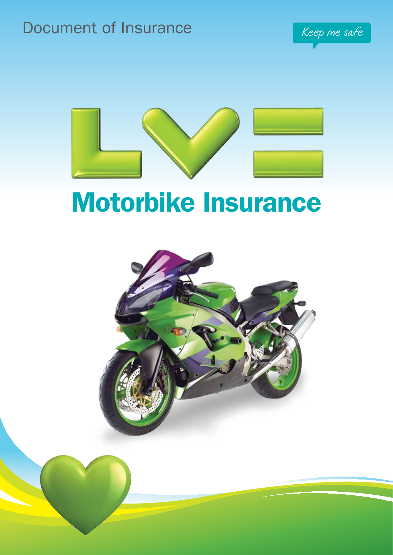## Document of Insurance Keep me safe





# Motorbike Insurance

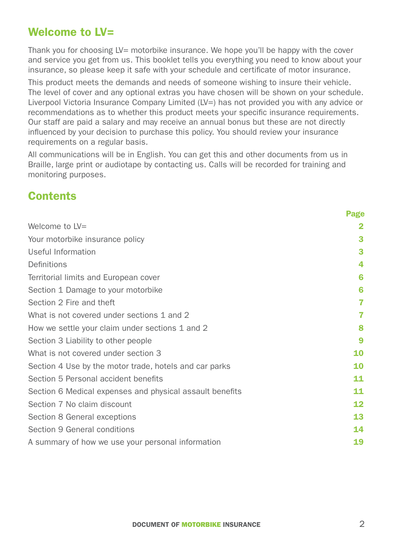### Welcome to LV=

Thank you for choosing LV= motorbike insurance. We hope you'll be happy with the cover and service you get from us. This booklet tells you everything you need to know about your insurance, so please keep it safe with your schedule and certificate of motor insurance.

This product meets the demands and needs of someone wishing to insure their vehicle. The level of cover and any optional extras you have chosen will be shown on your schedule. Liverpool Victoria Insurance Company Limited (LV=) has not provided you with any advice or recommendations as to whether this product meets your specific insurance requirements. Our staff are paid a salary and may receive an annual bonus but these are not directly influenced by your decision to purchase this policy. You should review your insurance requirements on a regular basis.

All communications will be in English. You can get this and other documents from us in Braille, large print or audiotape by contacting us. Calls will be recorded for training and monitoring purposes.

### **Contents**

|                                                          | Page |
|----------------------------------------------------------|------|
| Welcome to $IV =$                                        | 2    |
| Your motorbike insurance policy                          | 3    |
| Useful Information                                       | 3    |
| Definitions                                              | 4    |
| Territorial limits and European cover                    | 6    |
| Section 1 Damage to your motorbike                       | 6    |
| Section 2 Fire and theft                                 | 7    |
| What is not covered under sections 1 and 2               | 7    |
| How we settle your claim under sections 1 and 2          | 8    |
| Section 3 Liability to other people                      | 9    |
| What is not covered under section 3                      | 10   |
| Section 4 Use by the motor trade, hotels and car parks   | 10   |
| Section 5 Personal accident benefits                     | 11   |
| Section 6 Medical expenses and physical assault benefits | 11   |
| Section 7 No claim discount                              | 12   |
| Section 8 General exceptions                             | 13   |
| Section 9 General conditions                             | 14   |
| A summary of how we use your personal information        | 19   |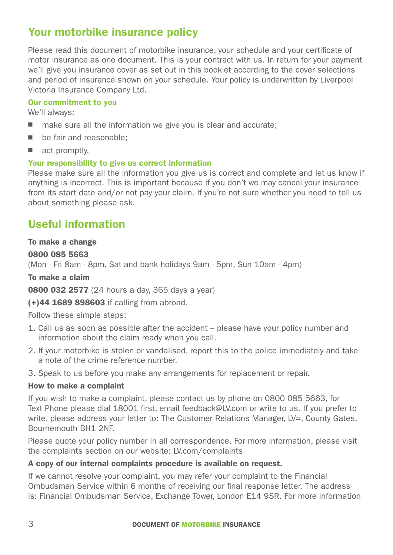### <span id="page-2-0"></span>Your motorbike insurance policy

Please read this document of motorbike insurance, your schedule and your certificate of motor insurance as one document. This is your contract with us. In return for your payment we'll give you insurance cover as set out in this booklet according to the cover selections and period of insurance shown on your schedule. Your policy is underwritten by Liverpool Victoria Insurance Company Ltd.

#### Our commitment to you

We'll always:

- $\Box$  make sure all the information we give you is clear and accurate:
- $\blacksquare$  be fair and reasonable:
- $\blacksquare$  act promptly.

#### Your responsibility to give us correct information

Please make sure all the information you give us is correct and complete and let us know if anything is incorrect. This is important because if you don't we may cancel your insurance from its start date and/or not pay your claim. If you're not sure whether you need to tell us about something please ask.

### <span id="page-2-1"></span>Useful information

#### To make a change

0800 085 5663 (Mon - Fri 8am - 8pm, Sat and bank holidays 9am - 5pm, Sun 10am - 4pm)

#### To make a claim

0800 032 2577 (24 hours a day, 365 days a year)

(+)44 1689 898603 if calling from abroad.

Follow these simple steps:

- 1. Call us as soon as possible after the accident please have your policy number and information about the claim ready when you call.
- 2. If your motorbike is stolen or vandalised, report this to the police immediately and take a note of the crime reference number.
- 3. Speak to us before you make any arrangements for replacement or repair.

#### How to make a complaint

If you wish to make a complaint, please contact us by phone on 0800 085 5663, for Text Phone please dial 18001 first, email feedback@LV.com or write to us. If you prefer to write, please address your letter to: The Customer Relations Manager, LV=, County Gates, Bournemouth BH1 2NF.

Please quote your policy number in all correspondence. For more information, please visit the complaints section on our website: [LV.com/complaints](http://www.lv.com/complaints)

#### A copy of our internal complaints procedure is available on request.

If we cannot resolve your complaint, you may refer your complaint to the Financial Ombudsman Service within 6 months of receiving our final response letter. The address is: Financial Ombudsman Service, Exchange Tower, London E14 9SR. For more information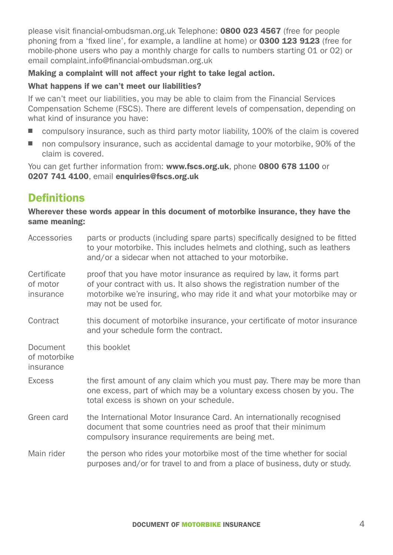please visit [financial-ombudsman.org.uk](http://www.financial-ombudsman.org.uk/) Telephone: 0800 023 4567 (free for people phoning from a 'fixed line', for example, a landline at home) or 0300 123 9123 (free for mobile-phone users who pay a monthly charge for calls to numbers starting 01 or 02) or email complaint.info@financial-ombudsman.org.uk

#### Making a complaint will not affect your right to take legal action.

#### What happens if we can't meet our liabilities?

If we can't meet our liabilities, you may be able to claim from the Financial Services Compensation Scheme (FSCS). There are different levels of compensation, depending on what kind of insurance you have:

- compulsory insurance, such as third party motor liability, 100% of the claim is covered
- non compulsory insurance, such as accidental damage to your motorbike, 90% of the claim is covered.

You can get further information from: www.fscs.org.uk, phone 0800 678 1100 or 0207 741 4100, email enquiries@fscs.org.uk

### <span id="page-3-0"></span>**Definitions**

Wherever these words appear in this document of motorbike insurance, they have the same meaning:

| Accessories                           | parts or products (including spare parts) specifically designed to be fitted<br>to your motorbike. This includes helmets and clothing, such as leathers<br>and/or a sidecar when not attached to your motorbike.                                    |
|---------------------------------------|-----------------------------------------------------------------------------------------------------------------------------------------------------------------------------------------------------------------------------------------------------|
| Certificate<br>of motor<br>insurance  | proof that you have motor insurance as required by law, it forms part<br>of your contract with us. It also shows the registration number of the<br>motorbike we're insuring, who may ride it and what your motorbike may or<br>may not be used for. |
| Contract                              | this document of motorbike insurance, your certificate of motor insurance<br>and your schedule form the contract.                                                                                                                                   |
| Document<br>of motorbike<br>insurance | this booklet                                                                                                                                                                                                                                        |
| Excess                                | the first amount of any claim which you must pay. There may be more than<br>one excess, part of which may be a voluntary excess chosen by you. The<br>total excess is shown on your schedule.                                                       |
| Green card                            | the International Motor Insurance Card. An internationally recognised<br>document that some countries need as proof that their minimum<br>compulsory insurance requirements are being met.                                                          |
| Main rider                            | the person who rides your motorbike most of the time whether for social<br>purposes and/or for travel to and from a place of business, duty or study.                                                                                               |
|                                       |                                                                                                                                                                                                                                                     |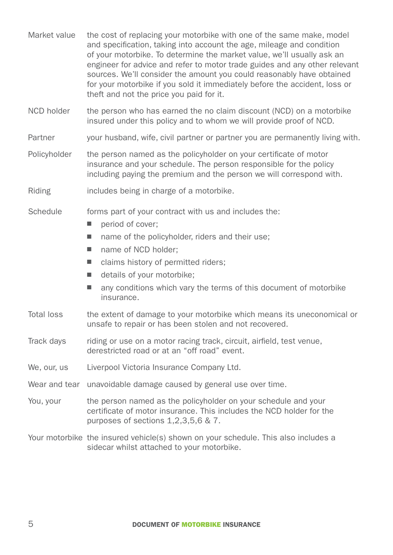- Market value the cost of replacing your motorbike with one of the same make, model and specification, taking into account the age, mileage and condition of your motorbike. To determine the market value, we'll usually ask an engineer for advice and refer to motor trade guides and any other relevant sources. We'll consider the amount you could reasonably have obtained for your motorbike if you sold it immediately before the accident, loss or theft and not the price you paid for it.
- NCD holder the person who has earned the no claim discount (NCD) on a motorbike insured under this policy and to whom we will provide proof of NCD.
- Partner your husband, wife, civil partner or partner you are permanently living with.
- Policyholder the person named as the policyholder on your certificate of motor insurance and your schedule. The person responsible for the policy including paying the premium and the person we will correspond with.
- Riding includes being in charge of a motorbike.
- Schedule forms part of your contract with us and includes the:
	- period of cover:
	- $\blacksquare$  name of the policyholder, riders and their use;
	- $\blacksquare$  name of NCD holder:
	- $\blacksquare$  claims history of permitted riders:
	- $\blacksquare$  details of your motorbike:
	- $\blacksquare$  any conditions which vary the terms of this document of motorbike insurance.
- Total loss the extent of damage to your motorbike which means its uneconomical or unsafe to repair or has been stolen and not recovered.
- Track days riding or use on a motor racing track, circuit, airfield, test venue, derestricted road or at an "off road" event.
- We, our, us Liverpool Victoria Insurance Company Ltd.
- Wear and tear unavoidable damage caused by general use over time.
- You, your the person named as the policyholder on your schedule and your certificate of motor insurance. This includes the NCD holder for the purposes of sections 1,2,3,5,6 & 7.
- Your motorbike the insured vehicle(s) shown on your schedule. This also includes a sidecar whilst attached to your motorbike.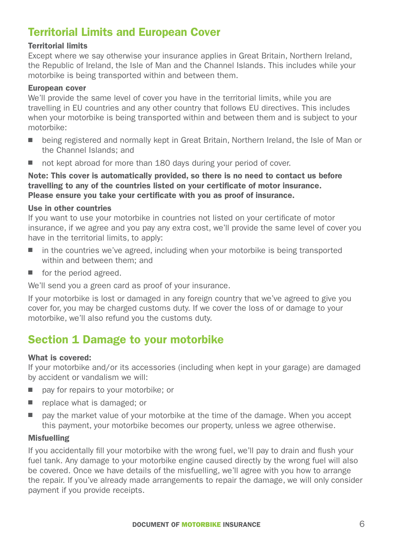### <span id="page-5-0"></span>Territorial Limits and European Cover

#### Territorial limits

Except where we say otherwise your insurance applies in Great Britain, Northern Ireland, the Republic of Ireland, the Isle of Man and the Channel Islands. This includes while your motorbike is being transported within and between them.

#### European cover

We'll provide the same level of cover you have in the territorial limits, while you are travelling in EU countries and any other country that follows EU directives. This includes when your motorbike is being transported within and between them and is subject to your motorbike:

- being registered and normally kept in Great Britain, Northern Ireland, the Isle of Man or the Channel Islands; and
- $\Box$  not kept abroad for more than 180 days during your period of cover.

Note: This cover is automatically provided, so there is no need to contact us before travelling to any of the countries listed on your certificate of motor insurance. Please ensure you take your certificate with you as proof of insurance.

#### Use in other countries

If you want to use your motorbike in countries not listed on your certificate of motor insurance, if we agree and you pay any extra cost, we'll provide the same level of cover you have in the territorial limits, to apply:

- $\blacksquare$  in the countries we've agreed, including when your motorbike is being transported within and between them; and
- $\blacksquare$  for the period agreed.

We'll send you a green card as proof of your insurance.

If your motorbike is lost or damaged in any foreign country that we've agreed to give you cover for, you may be charged customs duty. If we cover the loss of or damage to your motorbike, we'll also refund you the customs duty.

### <span id="page-5-1"></span>Section 1 Damage to your motorbike

#### What is covered:

If your motorbike and/or its accessories (including when kept in your garage) are damaged by accident or vandalism we will:

- pay for repairs to your motorbike; or
- $\blacksquare$  replace what is damaged; or
- n pay the market value of your motorbike at the time of the damage. When you accept this payment, your motorbike becomes our property, unless we agree otherwise.

#### Misfuelling

If you accidentally fill your motorbike with the wrong fuel, we'll pay to drain and flush your fuel tank. Any damage to your motorbike engine caused directly by the wrong fuel will also be covered. Once we have details of the misfuelling, we'll agree with you how to arrange the repair. If you've already made arrangements to repair the damage, we will only consider payment if you provide receipts.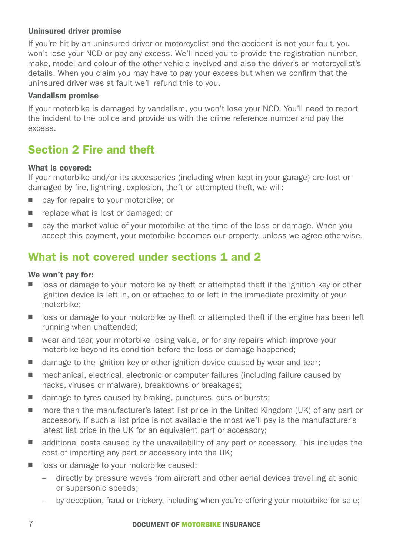#### Uninsured driver promise

If you're hit by an uninsured driver or motorcyclist and the accident is not your fault, you won't lose your NCD or pay any excess. We'll need you to provide the registration number, make, model and colour of the other vehicle involved and also the driver's or motorcyclist's details. When you claim you may have to pay your excess but when we confirm that the uninsured driver was at fault we'll refund this to you.

#### Vandalism promise

If your motorbike is damaged by vandalism, you won't lose your NCD. You'll need to report the incident to the police and provide us with the crime reference number and pay the excess.

### <span id="page-6-0"></span>Section 2 Fire and theft

#### What is covered:

If your motorbike and/or its accessories (including when kept in your garage) are lost or damaged by fire, lightning, explosion, theft or attempted theft, we will:

- pay for repairs to your motorbike: or
- $\blacksquare$  replace what is lost or damaged; or
- $\Box$  pay the market value of your motorbike at the time of the loss or damage. When you accept this payment, your motorbike becomes our property, unless we agree otherwise.

### <span id="page-6-1"></span>What is not covered under sections 1 and 2

#### We won't pay for:

- $\Box$  loss or damage to your motorbike by theft or attempted theft if the ignition key or other ignition device is left in, on or attached to or left in the immediate proximity of your motorbike;
- **n** loss or damage to your motorbike by theft or attempted theft if the engine has been left running when unattended;
- wear and tear, your motorbike losing value, or for any repairs which improve your motorbike beyond its condition before the loss or damage happened;
- $\Box$  damage to the ignition key or other ignition device caused by wear and tear;
- mechanical, electrical, electronic or computer failures (including failure caused by hacks, viruses or malware), breakdowns or breakages;
- damage to tyres caused by braking, punctures, cuts or bursts;
- more than the manufacturer's latest list price in the United Kingdom (UK) of any part or accessory. If such a list price is not available the most we'll pay is the manufacturer's latest list price in the UK for an equivalent part or accessory;
- additional costs caused by the unavailability of any part or accessory. This includes the cost of importing any part or accessory into the UK;
- loss or damage to your motorbike caused:
	- directly by pressure waves from aircraft and other aerial devices travelling at sonic or supersonic speeds;
	- by deception, fraud or trickery, including when you're offering your motorbike for sale;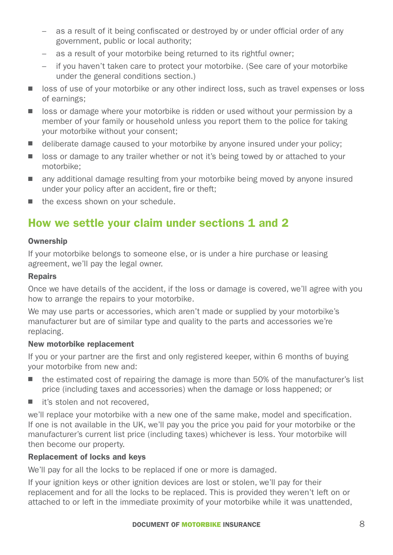- as a result of it being confiscated or destroyed by or under official order of any government, public or local authority;
- as a result of your motorbike being returned to its rightful owner;
- if you haven't taken care to protect your motorbike. (See care of your motorbike under the general conditions section.)
- loss of use of your motorbike or any other indirect loss, such as travel expenses or loss of earnings;
- $\Box$  loss or damage where your motorbike is ridden or used without your permission by a member of your family or household unless you report them to the police for taking your motorbike without your consent;
- deliberate damage caused to your motorbike by anyone insured under your policy;
- loss or damage to any trailer whether or not it's being towed by or attached to your motorbike;
- n any additional damage resulting from your motorbike being moved by anyone insured under your policy after an accident, fire or theft;
- $\blacksquare$  the excess shown on your schedule.

### <span id="page-7-0"></span>How we settle your claim under sections 1 and 2

#### **Ownership**

If your motorbike belongs to someone else, or is under a hire purchase or leasing agreement, we'll pay the legal owner.

#### Repairs

Once we have details of the accident, if the loss or damage is covered, we'll agree with you how to arrange the repairs to your motorbike.

We may use parts or accessories, which aren't made or supplied by your motorbike's manufacturer but are of similar type and quality to the parts and accessories we're replacing.

#### New motorbike replacement

If you or your partner are the first and only registered keeper, within 6 months of buying your motorbike from new and:

- the estimated cost of repairing the damage is more than 50% of the manufacturer's list price (including taxes and accessories) when the damage or loss happened; or
- it's stolen and not recovered

we'll replace your motorbike with a new one of the same make, model and specification. If one is not available in the UK, we'll pay you the price you paid for your motorbike or the manufacturer's current list price (including taxes) whichever is less. Your motorbike will then become our property.

#### Replacement of locks and keys

We'll pay for all the locks to be replaced if one or more is damaged.

If your ignition keys or other ignition devices are lost or stolen, we'll pay for their replacement and for all the locks to be replaced. This is provided they weren't left on or attached to or left in the immediate proximity of your motorbike while it was unattended,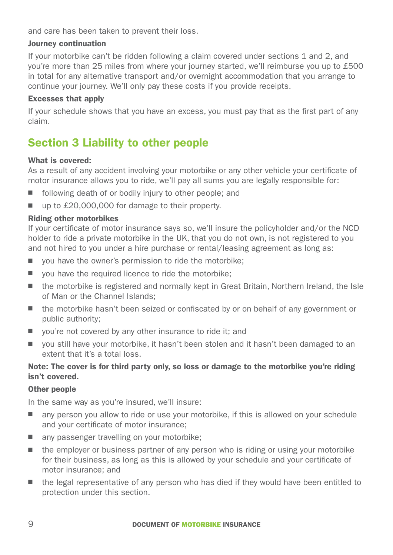and care has been taken to prevent their loss.

#### Journey continuation

If your motorbike can't be ridden following a claim covered under sections 1 and 2, and you're more than 25 miles from where your journey started, we'll reimburse you up to £500 in total for any alternative transport and/or overnight accommodation that you arrange to continue your journey. We'll only pay these costs if you provide receipts.

#### Excesses that apply

If your schedule shows that you have an excess, you must pay that as the first part of any claim.

### <span id="page-8-0"></span>Section 3 Liability to other people

#### What is covered:

As a result of any accident involving your motorbike or any other vehicle your certificate of motor insurance allows you to ride, we'll pay all sums you are legally responsible for:

- $\blacksquare$  following death of or bodily injury to other people; and
- up to £20,000,000 for damage to their property.

#### Riding other motorbikes

If your certificate of motor insurance says so, we'll insure the policyholder and/or the NCD holder to ride a private motorbike in the UK, that you do not own, is not registered to you and not hired to you under a hire purchase or rental/leasing agreement as long as:

- you have the owner's permission to ride the motorbike;
- $\blacksquare$  vou have the required licence to ride the motorbike:
- $\blacksquare$  the motorbike is registered and normally kept in Great Britain, Northern Ireland, the Isle of Man or the Channel Islands;
- $\blacksquare$  the motorbike hasn't been seized or confiscated by or on behalf of any government or public authority;
- vou're not covered by any other insurance to ride it; and
- vou still have your motorbike, it hasn't been stolen and it hasn't been damaged to an extent that it's a total loss.

#### Note: The cover is for third party only, so loss or damage to the motorbike you're riding isn't covered.

#### Other people

In the same way as you're insured, we'll insure:

- n any person you allow to ride or use your motorbike, if this is allowed on your schedule and your certificate of motor insurance;
- any passenger travelling on your motorbike;
- the employer or business partner of any person who is riding or using your motorbike for their business, as long as this is allowed by your schedule and your certificate of motor insurance; and
- $\blacksquare$  the legal representative of any person who has died if they would have been entitled to protection under this section.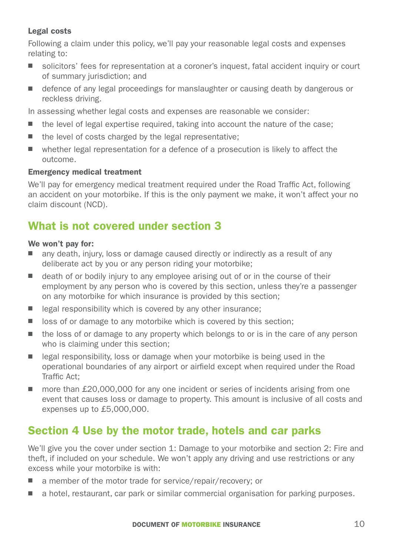#### Legal costs

Following a claim under this policy, we'll pay your reasonable legal costs and expenses relating to:

- n solicitors' fees for representation at a coroner's inquest, fatal accident inquiry or court of summary jurisdiction; and
- defence of any legal proceedings for manslaughter or causing death by dangerous or reckless driving.

In assessing whether legal costs and expenses are reasonable we consider:

- $\blacksquare$  the level of legal expertise required, taking into account the nature of the case;
- $\blacksquare$  the level of costs charged by the legal representative;
- $\blacksquare$  whether legal representation for a defence of a prosecution is likely to affect the outcome.

#### Emergency medical treatment

We'll pay for emergency medical treatment required under the Road Traffic Act, following an accident on your motorbike. If this is the only payment we make, it won't affect your no claim discount (NCD).

### <span id="page-9-0"></span>What is not covered under section 3

#### We won't pay for:

- any death, injury, loss or damage caused directly or indirectly as a result of any deliberate act by you or any person riding your motorbike;
- $\blacksquare$  death of or bodily injury to any employee arising out of or in the course of their employment by any person who is covered by this section, unless they're a passenger on any motorbike for which insurance is provided by this section;
- $\blacksquare$  legal responsibility which is covered by any other insurance;
- $\Box$  loss of or damage to any motorbike which is covered by this section;
- $\blacksquare$  the loss of or damage to any property which belongs to or is in the care of any person who is claiming under this section;
- $\Box$  legal responsibility, loss or damage when your motorbike is being used in the operational boundaries of any airport or airfield except when required under the Road Traffic Act;
- $\blacksquare$  more than £20,000,000 for any one incident or series of incidents arising from one event that causes loss or damage to property. This amount is inclusive of all costs and expenses up to £5,000,000.

### <span id="page-9-1"></span>Section 4 Use by the motor trade, hotels and car parks

We'll give you the cover under section 1: Damage to your motorbike and section 2: Fire and theft, if included on your schedule. We won't apply any driving and use restrictions or any excess while your motorbike is with:

- a member of the motor trade for service/repair/recovery; or
- $\blacksquare$  a hotel, restaurant, car park or similar commercial organisation for parking purposes.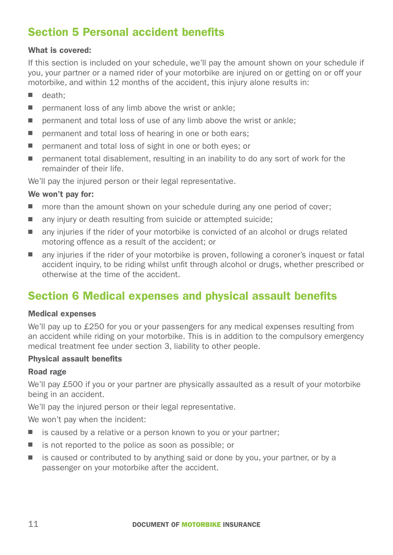### <span id="page-10-0"></span>Section 5 Personal accident benefits

#### What is covered:

If this section is included on your schedule, we'll pay the amount shown on your schedule if you, your partner or a named rider of your motorbike are injured on or getting on or off your motorbike, and within 12 months of the accident, this injury alone results in:

- n death:
- $\blacksquare$  permanent loss of any limb above the wrist or ankle;
- $\Box$  permanent and total loss of use of any limb above the wrist or ankle;
- $\Box$  permanent and total loss of hearing in one or both ears;
- permanent and total loss of sight in one or both eyes; or
- $\blacksquare$  permanent total disablement, resulting in an inability to do any sort of work for the remainder of their life.

We'll pay the injured person or their legal representative.

#### We won't pay for:

- n more than the amount shown on your schedule during any one period of cover;
- $\blacksquare$  any injury or death resulting from suicide or attempted suicide:
- $\Box$  any injuries if the rider of your motorbike is convicted of an alcohol or drugs related motoring offence as a result of the accident; or
- n any injuries if the rider of your motorbike is proven, following a coroner's inquest or fatal accident inquiry, to be riding whilst unfit through alcohol or drugs, whether prescribed or otherwise at the time of the accident.

### <span id="page-10-1"></span>Section 6 Medical expenses and physical assault benefits

#### Medical expenses

We'll pay up to £250 for you or your passengers for any medical expenses resulting from an accident while riding on your motorbike. This is in addition to the compulsory emergency medical treatment fee under section 3, liability to other people.

#### Physical assault benefits

#### Road rage

We'll pay £500 if you or your partner are physically assaulted as a result of your motorbike being in an accident.

We'll pay the injured person or their legal representative.

We won't pay when the incident:

- $\blacksquare$  is caused by a relative or a person known to you or your partner:
- $\blacksquare$  is not reported to the police as soon as possible; or
- $\blacksquare$  is caused or contributed to by anything said or done by you, your partner, or by a passenger on your motorbike after the accident.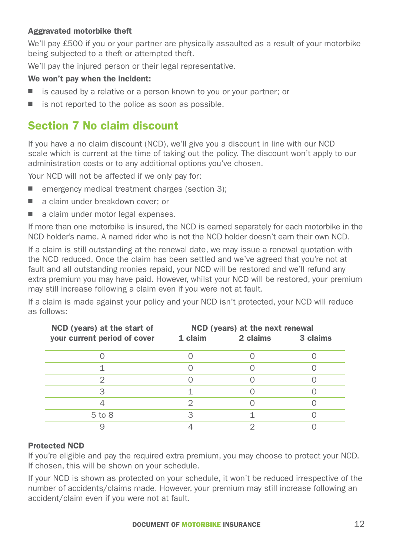#### Aggravated motorbike theft

We'll pay £500 if you or your partner are physically assaulted as a result of your motorbike being subjected to a theft or attempted theft.

We'll pay the injured person or their legal representative.

#### We won't pay when the incident:

- $\blacksquare$  is caused by a relative or a person known to you or your partner; or
- $\blacksquare$  is not reported to the police as soon as possible.

### <span id="page-11-0"></span>Section 7 No claim discount

If you have a no claim discount (NCD), we'll give you a discount in line with our NCD scale which is current at the time of taking out the policy. The discount won't apply to our administration costs or to any additional options you've chosen.

Your NCD will not be affected if we only pay for:

- $\blacksquare$  emergency medical treatment charges (section 3);
- a claim under breakdown cover; or
- $\blacksquare$  a claim under motor legal expenses.

If more than one motorbike is insured, the NCD is earned separately for each motorbike in the NCD holder's name. A named rider who is not the NCD holder doesn't earn their own NCD.

If a claim is still outstanding at the renewal date, we may issue a renewal quotation with the NCD reduced. Once the claim has been settled and we've agreed that you're not at fault and all outstanding monies repaid, your NCD will be restored and we'll refund any extra premium you may have paid. However, whilst your NCD will be restored, your premium may still increase following a claim even if you were not at fault.

If a claim is made against your policy and your NCD isn't protected, your NCD will reduce as follows:

| NCD (years) at the start of  | NCD (years) at the next renewal |          |          |
|------------------------------|---------------------------------|----------|----------|
| your current period of cover | 1 claim                         | 2 claims | 3 claims |
|                              |                                 |          |          |
|                              |                                 |          |          |
|                              |                                 |          |          |
|                              |                                 |          |          |
|                              |                                 |          |          |
| $5$ to $8$                   | З                               |          |          |
|                              |                                 |          |          |

#### Protected NCD

If you're eligible and pay the required extra premium, you may choose to protect your NCD. If chosen, this will be shown on your schedule.

If your NCD is shown as protected on your schedule, it won't be reduced irrespective of the number of accidents/claims made. However, your premium may still increase following an accident/claim even if you were not at fault.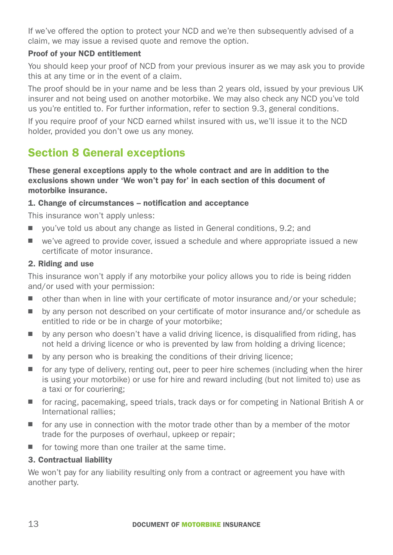If we've offered the option to protect your NCD and we're then subsequently advised of a claim, we may issue a revised quote and remove the option.

#### Proof of your NCD entitlement

You should keep your proof of NCD from your previous insurer as we may ask you to provide this at any time or in the event of a claim.

The proof should be in your name and be less than 2 years old, issued by your previous UK insurer and not being used on another motorbike. We may also check any NCD you've told us you're entitled to. For further information, refer to section 9.3, general conditions.

If you require proof of your NCD earned whilst insured with us, we'll issue it to the NCD holder, provided you don't owe us any money.

### <span id="page-12-0"></span>Section 8 General exceptions

These general exceptions apply to the whole contract and are in addition to the exclusions shown under 'We won't pay for' in each section of this document of motorbike insurance.

#### 1. Change of circumstances – notification and acceptance

This insurance won't apply unless:

- you've told us about any change as listed in General conditions, 9.2; and
- $\blacksquare$  we've agreed to provide cover, issued a schedule and where appropriate issued a new certificate of motor insurance.

#### 2. Riding and use

This insurance won't apply if any motorbike your policy allows you to ride is being ridden and/or used with your permission:

- $\Box$  other than when in line with your certificate of motor insurance and/or your schedule;
- by any person not described on your certificate of motor insurance and/or schedule as entitled to ride or be in charge of your motorbike;
- $\Box$  by any person who doesn't have a valid driving licence, is disqualified from riding, has not held a driving licence or who is prevented by law from holding a driving licence;
- $\blacksquare$  by any person who is breaking the conditions of their driving licence;
- $\blacksquare$  for any type of delivery, renting out, peer to peer hire schemes (including when the hirer is using your motorbike) or use for hire and reward including (but not limited to) use as a taxi or for couriering;
- for racing, pacemaking, speed trials, track days or for competing in National British A or International rallies;
- $\blacksquare$  for any use in connection with the motor trade other than by a member of the motor trade for the purposes of overhaul, upkeep or repair;
- $\blacksquare$  for towing more than one trailer at the same time.

#### 3. Contractual liability

We won't pay for any liability resulting only from a contract or agreement you have with another party.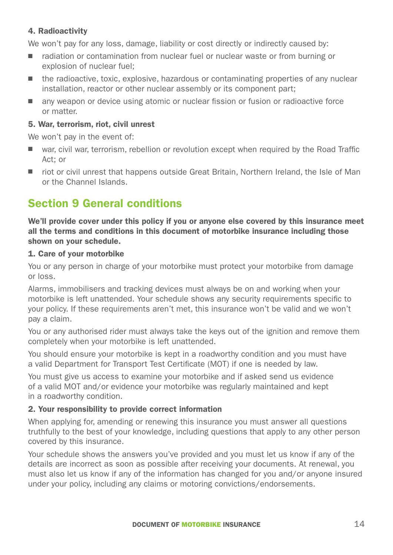#### 4. Radioactivity

We won't pay for any loss, damage, liability or cost directly or indirectly caused by:

- radiation or contamination from nuclear fuel or nuclear waste or from burning or explosion of nuclear fuel;
- $\blacksquare$  the radioactive, toxic, explosive, hazardous or contaminating properties of any nuclear installation, reactor or other nuclear assembly or its component part;
- n any weapon or device using atomic or nuclear fission or fusion or radioactive force or matter.

#### 5. War, terrorism, riot, civil unrest

We won't pay in the event of:

- war, civil war, terrorism, rebellion or revolution except when required by the Road Traffic Act; or
- $\blacksquare$  riot or civil unrest that happens outside Great Britain, Northern Ireland, the Isle of Man or the Channel Islands.

### <span id="page-13-0"></span>Section 9 General conditions

We'll provide cover under this policy if you or anyone else covered by this insurance meet all the terms and conditions in this document of motorbike insurance including those shown on your schedule.

#### 1. Care of your motorbike

You or any person in charge of your motorbike must protect your motorbike from damage or loss.

Alarms, immobilisers and tracking devices must always be on and working when your motorbike is left unattended. Your schedule shows any security requirements specific to your policy. If these requirements aren't met, this insurance won't be valid and we won't pay a claim.

You or any authorised rider must always take the keys out of the ignition and remove them completely when your motorbike is left unattended.

You should ensure your motorbike is kept in a roadworthy condition and you must have a valid Department for Transport Test Certificate (MOT) if one is needed by law.

You must give us access to examine your motorbike and if asked send us evidence of a valid MOT and/or evidence your motorbike was regularly maintained and kept in a roadworthy condition.

#### 2. Your responsibility to provide correct information

When applying for, amending or renewing this insurance you must answer all questions truthfully to the best of your knowledge, including questions that apply to any other person covered by this insurance.

Your schedule shows the answers you've provided and you must let us know if any of the details are incorrect as soon as possible after receiving your documents. At renewal, you must also let us know if any of the information has changed for you and/or anyone insured under your policy, including any claims or motoring convictions/endorsements.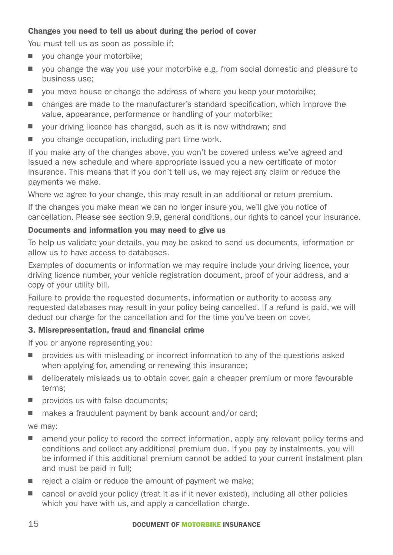#### Changes you need to tell us about during the period of cover

You must tell us as soon as possible if:

- $\Box$  you change your motorbike;
- $\Box$  you change the way you use your motorbike e.g. from social domestic and pleasure to business use;
- $\Box$  you move house or change the address of where you keep your motorbike;
- changes are made to the manufacturer's standard specification, which improve the value, appearance, performance or handling of your motorbike;
- $\Box$  your driving licence has changed, such as it is now withdrawn; and
- $\Box$  vou change occupation, including part time work.

If you make any of the changes above, you won't be covered unless we've agreed and issued a new schedule and where appropriate issued you a new certificate of motor insurance. This means that if you don't tell us, we may reject any claim or reduce the payments we make.

Where we agree to your change, this may result in an additional or return premium.

If the changes you make mean we can no longer insure you, we'll give you notice of cancellation. Please see section 9.9, general conditions, our rights to cancel your insurance.

#### Documents and information you may need to give us

To help us validate your details, you may be asked to send us documents, information or allow us to have access to databases.

Examples of documents or information we may require include your driving licence, your driving licence number, your vehicle registration document, proof of your address, and a copy of your utility bill.

Failure to provide the requested documents, information or authority to access any requested databases may result in your policy being cancelled. If a refund is paid, we will deduct our charge for the cancellation and for the time you've been on cover.

#### 3. Misrepresentation, fraud and financial crime

If you or anyone representing you:

- $\blacksquare$  provides us with misleading or incorrect information to any of the questions asked when applying for, amending or renewing this insurance;
- deliberately misleads us to obtain cover, gain a cheaper premium or more favourable terms;
- $\Box$  provides us with false documents;
- $\blacksquare$  makes a fraudulent payment by bank account and/or card:

we may:

- n amend your policy to record the correct information, apply any relevant policy terms and conditions and collect any additional premium due. If you pay by instalments, you will be informed if this additional premium cannot be added to your current instalment plan and must be paid in full;
- $\blacksquare$  reject a claim or reduce the amount of payment we make;
- $\Box$  cancel or avoid your policy (treat it as if it never existed), including all other policies which you have with us, and apply a cancellation charge.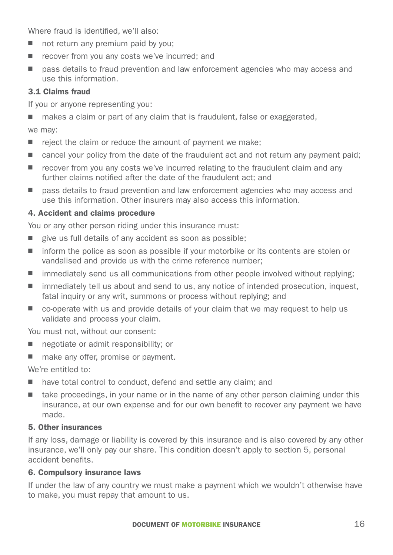Where fraud is identified, we'll also:

- $\Box$  not return any premium paid by you:
- $\blacksquare$  recover from you any costs we've incurred; and
- pass details to fraud prevention and law enforcement agencies who may access and use this information.

#### 3.1 Claims fraud

If you or anyone representing you:

 $\Box$  makes a claim or part of any claim that is fraudulent, false or exaggerated,

we may:

- $\blacksquare$  reject the claim or reduce the amount of payment we make;
- cancel your policy from the date of the fraudulent act and not return any payment paid;
- $\blacksquare$  recover from you any costs we've incurred relating to the fraudulent claim and any further claims notified after the date of the fraudulent act; and
- n pass details to fraud prevention and law enforcement agencies who may access and use this information. Other insurers may also access this information.

#### 4. Accident and claims procedure

You or any other person riding under this insurance must:

- $\Box$  give us full details of any accident as soon as possible:
- n inform the police as soon as possible if your motorbike or its contents are stolen or vandalised and provide us with the crime reference number;
- $\blacksquare$  immediately send us all communications from other people involved without replying:
- immediately tell us about and send to us, any notice of intended prosecution, inquest, fatal inquiry or any writ, summons or process without replying; and
- $\Box$  co-operate with us and provide details of your claim that we may request to help us validate and process your claim.

You must not, without our consent:

- $\blacksquare$  negotiate or admit responsibility; or
- make any offer, promise or payment.

We're entitled to:

- $\blacksquare$  have total control to conduct, defend and settle any claim; and
- n take proceedings, in your name or in the name of any other person claiming under this insurance, at our own expense and for our own benefit to recover any payment we have made.

#### 5. Other insurances

If any loss, damage or liability is covered by this insurance and is also covered by any other insurance, we'll only pay our share. This condition doesn't apply to section 5, personal accident benefits.

#### 6. Compulsory insurance laws

If under the law of any country we must make a payment which we wouldn't otherwise have to make, you must repay that amount to us.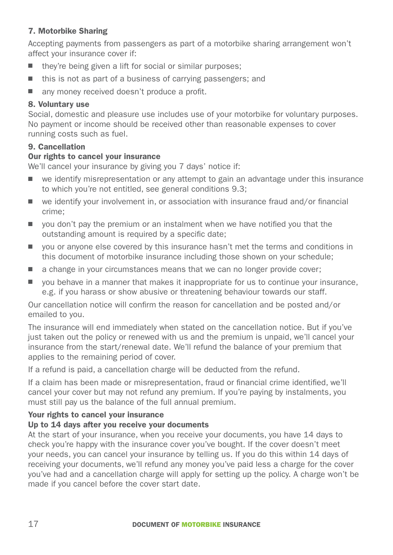#### 7. Motorbike Sharing

Accepting payments from passengers as part of a motorbike sharing arrangement won't affect your insurance cover if:

- $\blacksquare$  they're being given a lift for social or similar purposes;
- $\blacksquare$  this is not as part of a business of carrying passengers; and
- $\Box$  any money received doesn't produce a profit.

#### 8. Voluntary use

Social, domestic and pleasure use includes use of your motorbike for voluntary purposes. No payment or income should be received other than reasonable expenses to cover running costs such as fuel.

#### 9. Cancellation

#### Our rights to cancel your insurance

We'll cancel your insurance by giving you 7 days' notice if:

- $\blacksquare$  we identify misrepresentation or any attempt to gain an advantage under this insurance to which you're not entitled, see general conditions 9.3;
- $\blacksquare$  we identify your involvement in, or association with insurance fraud and/or financial crime;
- $\blacksquare$  vou don't pay the premium or an instalment when we have notified you that the outstanding amount is required by a specific date;
- $\Box$  vou or anyone else covered by this insurance hasn't met the terms and conditions in this document of motorbike insurance including those shown on your schedule;
- a change in your circumstances means that we can no longer provide cover;
- $\Box$  vou behave in a manner that makes it inappropriate for us to continue your insurance, e.g. if you harass or show abusive or threatening behaviour towards our staff.

Our cancellation notice will confirm the reason for cancellation and be posted and/or emailed to you.

The insurance will end immediately when stated on the cancellation notice. But if you've just taken out the policy or renewed with us and the premium is unpaid, we'll cancel your insurance from the start/renewal date. We'll refund the balance of your premium that applies to the remaining period of cover.

If a refund is paid, a cancellation charge will be deducted from the refund.

If a claim has been made or misrepresentation, fraud or financial crime identified, we'll cancel your cover but may not refund any premium. If you're paying by instalments, you must still pay us the balance of the full annual premium.

#### Your rights to cancel your insurance

#### Up to 14 days after you receive your documents

At the start of your insurance, when you receive your documents, you have 14 days to check you're happy with the insurance cover you've bought. If the cover doesn't meet your needs, you can cancel your insurance by telling us. If you do this within 14 days of receiving your documents, we'll refund any money you've paid less a charge for the cover you've had and a cancellation charge will apply for setting up the policy. A charge won't be made if you cancel before the cover start date.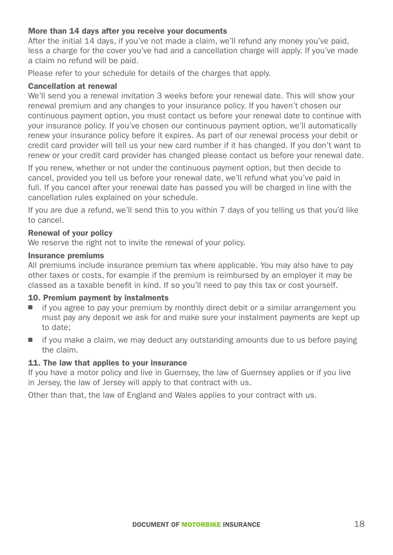#### More than 14 days after you receive your documents

After the initial 14 days, if you've not made a claim, we'll refund any money you've paid, less a charge for the cover you've had and a cancellation charge will apply. If you've made a claim no refund will be paid.

Please refer to your schedule for details of the charges that apply.

#### Cancellation at renewal

We'll send you a renewal invitation 3 weeks before your renewal date. This will show your renewal premium and any changes to your insurance policy. If you haven't chosen our continuous payment option, you must contact us before your renewal date to continue with your insurance policy. If you've chosen our continuous payment option, we'll automatically renew your insurance policy before it expires. As part of our renewal process your debit or credit card provider will tell us your new card number if it has changed. If you don't want to renew or your credit card provider has changed please contact us before your renewal date.

If you renew, whether or not under the continuous payment option, but then decide to cancel, provided you tell us before your renewal date, we'll refund what you've paid in full. If you cancel after your renewal date has passed you will be charged in line with the cancellation rules explained on your schedule.

If you are due a refund, we'll send this to you within 7 days of you telling us that you'd like to cancel.

#### Renewal of your policy

We reserve the right not to invite the renewal of your policy.

#### Insurance premiums

All premiums include insurance premium tax where applicable. You may also have to pay other taxes or costs, for example if the premium is reimbursed by an employer it may be classed as a taxable benefit in kind. If so you'll need to pay this tax or cost yourself.

#### 10. Premium payment by instalments

- $\blacksquare$  if you agree to pay your premium by monthly direct debit or a similar arrangement you must pay any deposit we ask for and make sure your instalment payments are kept up to date;
- $\blacksquare$  if you make a claim, we may deduct any outstanding amounts due to us before paying the claim.

#### 11. The law that applies to your insurance

If you have a motor policy and live in Guernsey, the law of Guernsey applies or if you live in Jersey, the law of Jersey will apply to that contract with us.

Other than that, the law of England and Wales applies to your contract with us.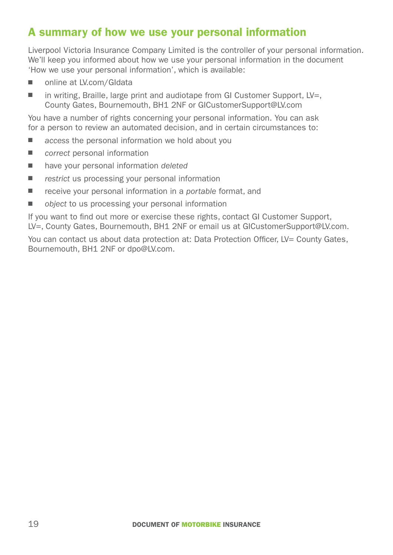### <span id="page-18-0"></span>A summary of how we use your personal information

Liverpool Victoria Insurance Company Limited is the controller of your personal information. We'll keep you informed about how we use your personal information in the document 'How we use your personal information', which is available:

- online at [LV.com/GIdata](http://www.LV.com/GIdata)
- $\blacksquare$  in writing, Braille, large print and audiotape from GI Customer Support, LV=, County Gates, Bournemouth, BH1 2NF or GICustomerSupport@LV.com

You have a number of rights concerning your personal information. You can ask for a person to review an automated decision, and in certain circumstances to:

- *access* the personal information we hold about you
- *correct* personal information
- have your personal information *deleted*
- *restrict* us processing your personal information
- receive your personal information in a *portable* format, and
- *object* to us processing your personal information

If you want to find out more or exercise these rights, contact GI Customer Support, LV=, County Gates, Bournemouth, BH1 2NF or email us at GICustomerSupport@LV.com.

You can contact us about data protection at: Data Protection Officer, LV= County Gates, Bournemouth, BH1 2NF or dpo@LV.com.